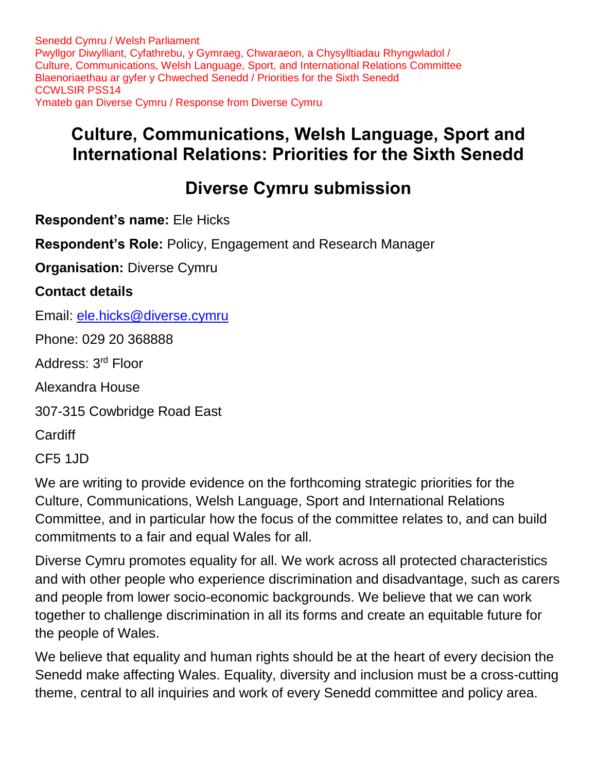## **Culture, Communications, Welsh Language, Sport and International Relations: Priorities for the Sixth Senedd**

# **Diverse Cymru submission**

**Respondent's name:** Ele Hicks

**Respondent's Role:** Policy, Engagement and Research Manager

**Organisation:** Diverse Cymru

#### **Contact details**

Email: [ele.hicks@diverse.cymru](mailto:ele.hicks@diverse.cymru)

Phone: 029 20 368888

Address: 3rd Floor

Alexandra House

307-315 Cowbridge Road East

**Cardiff** 

CF5 1JD

We are writing to provide evidence on the forthcoming strategic priorities for the Culture, Communications, Welsh Language, Sport and International Relations Committee, and in particular how the focus of the committee relates to, and can build commitments to a fair and equal Wales for all.

Diverse Cymru promotes equality for all. We work across all protected characteristics and with other people who experience discrimination and disadvantage, such as carers and people from lower socio-economic backgrounds. We believe that we can work together to challenge discrimination in all its forms and create an equitable future for the people of Wales.

We believe that equality and human rights should be at the heart of every decision the Senedd make affecting Wales. Equality, diversity and inclusion must be a cross-cutting theme, central to all inquiries and work of every Senedd committee and policy area.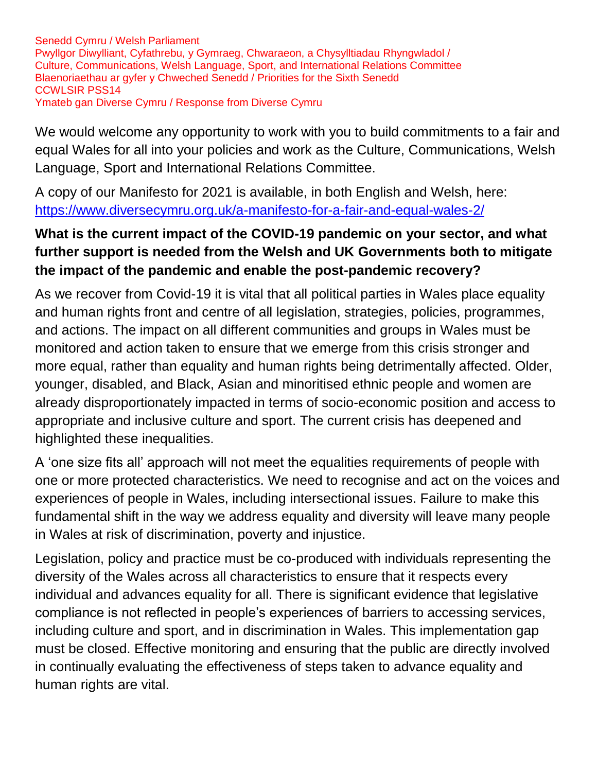We would welcome any opportunity to work with you to build commitments to a fair and equal Wales for all into your policies and work as the Culture, Communications, Welsh Language, Sport and International Relations Committee.

A copy of our Manifesto for 2021 is available, in both English and Welsh, here: <https://www.diversecymru.org.uk/a-manifesto-for-a-fair-and-equal-wales-2/>

#### **What is the current impact of the COVID-19 pandemic on your sector, and what further support is needed from the Welsh and UK Governments both to mitigate the impact of the pandemic and enable the post-pandemic recovery?**

As we recover from Covid-19 it is vital that all political parties in Wales place equality and human rights front and centre of all legislation, strategies, policies, programmes, and actions. The impact on all different communities and groups in Wales must be monitored and action taken to ensure that we emerge from this crisis stronger and more equal, rather than equality and human rights being detrimentally affected. Older, younger, disabled, and Black, Asian and minoritised ethnic people and women are already disproportionately impacted in terms of socio-economic position and access to appropriate and inclusive culture and sport. The current crisis has deepened and highlighted these inequalities.

A 'one size fits all' approach will not meet the equalities requirements of people with one or more protected characteristics. We need to recognise and act on the voices and experiences of people in Wales, including intersectional issues. Failure to make this fundamental shift in the way we address equality and diversity will leave many people in Wales at risk of discrimination, poverty and injustice.

Legislation, policy and practice must be co-produced with individuals representing the diversity of the Wales across all characteristics to ensure that it respects every individual and advances equality for all. There is significant evidence that legislative compliance is not reflected in people's experiences of barriers to accessing services, including culture and sport, and in discrimination in Wales. This implementation gap must be closed. Effective monitoring and ensuring that the public are directly involved in continually evaluating the effectiveness of steps taken to advance equality and human rights are vital.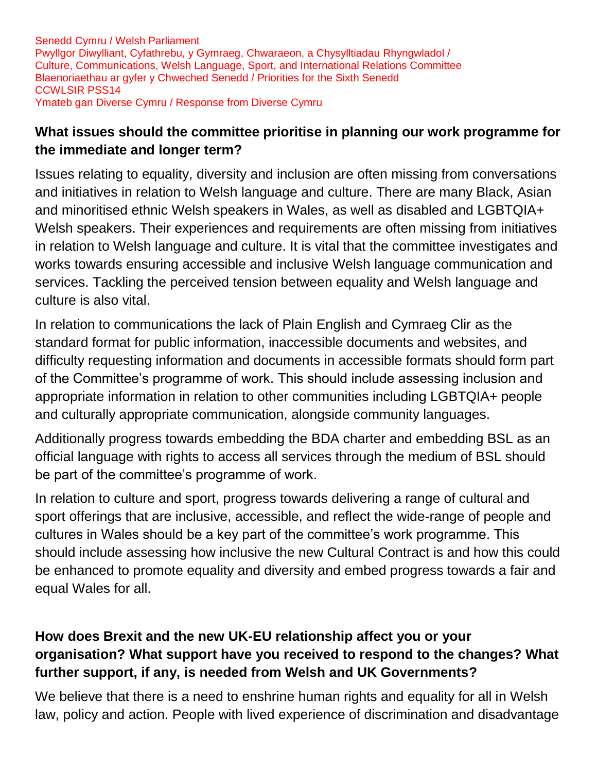#### **What issues should the committee prioritise in planning our work programme for the immediate and longer term?**

Issues relating to equality, diversity and inclusion are often missing from conversations and initiatives in relation to Welsh language and culture. There are many Black, Asian and minoritised ethnic Welsh speakers in Wales, as well as disabled and LGBTQIA+ Welsh speakers. Their experiences and requirements are often missing from initiatives in relation to Welsh language and culture. It is vital that the committee investigates and works towards ensuring accessible and inclusive Welsh language communication and services. Tackling the perceived tension between equality and Welsh language and culture is also vital.

In relation to communications the lack of Plain English and Cymraeg Clir as the standard format for public information, inaccessible documents and websites, and difficulty requesting information and documents in accessible formats should form part of the Committee's programme of work. This should include assessing inclusion and appropriate information in relation to other communities including LGBTQIA+ people and culturally appropriate communication, alongside community languages.

Additionally progress towards embedding the BDA charter and embedding BSL as an official language with rights to access all services through the medium of BSL should be part of the committee's programme of work.

In relation to culture and sport, progress towards delivering a range of cultural and sport offerings that are inclusive, accessible, and reflect the wide-range of people and cultures in Wales should be a key part of the committee's work programme. This should include assessing how inclusive the new Cultural Contract is and how this could be enhanced to promote equality and diversity and embed progress towards a fair and equal Wales for all.

### **How does Brexit and the new UK-EU relationship affect you or your organisation? What support have you received to respond to the changes? What further support, if any, is needed from Welsh and UK Governments?**

We believe that there is a need to enshrine human rights and equality for all in Welsh law, policy and action. People with lived experience of discrimination and disadvantage